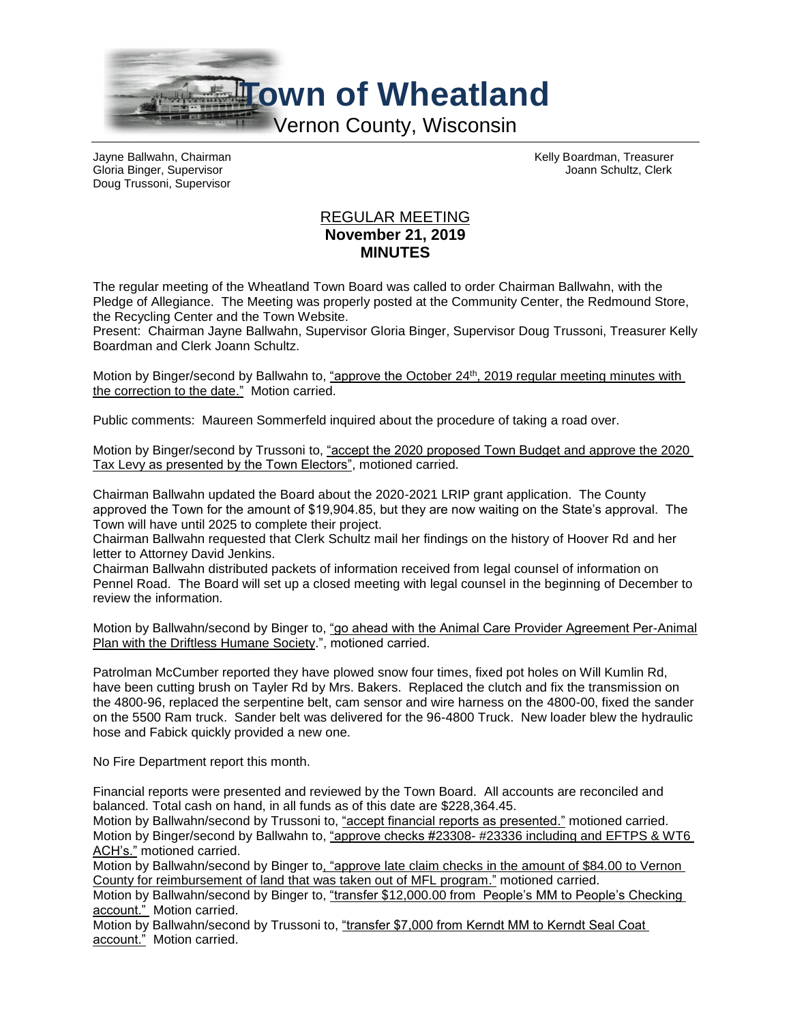

Gloria Binger, Supervisor **Joannie Alexander Schultz, Clerk** Joannie Schultz, Clerk Doug Trussoni, Supervisor

Jayne Ballwahn, Chairman Kelly Boardman, Treasurer

## REGULAR MEETING **November 21, 2019 MINUTES**

The regular meeting of the Wheatland Town Board was called to order Chairman Ballwahn, with the Pledge of Allegiance. The Meeting was properly posted at the Community Center, the Redmound Store, the Recycling Center and the Town Website.

Present: Chairman Jayne Ballwahn, Supervisor Gloria Binger, Supervisor Doug Trussoni, Treasurer Kelly Boardman and Clerk Joann Schultz.

Motion by Binger/second by Ballwahn to, "approve the October 24<sup>th</sup>, 2019 regular meeting minutes with the correction to the date." Motion carried.

Public comments: Maureen Sommerfeld inquired about the procedure of taking a road over.

Motion by Binger/second by Trussoni to, "accept the 2020 proposed Town Budget and approve the 2020 Tax Levy as presented by the Town Electors", motioned carried.

Chairman Ballwahn updated the Board about the 2020-2021 LRIP grant application. The County approved the Town for the amount of \$19,904.85, but they are now waiting on the State's approval. The Town will have until 2025 to complete their project.

Chairman Ballwahn requested that Clerk Schultz mail her findings on the history of Hoover Rd and her letter to Attorney David Jenkins.

Chairman Ballwahn distributed packets of information received from legal counsel of information on Pennel Road. The Board will set up a closed meeting with legal counsel in the beginning of December to review the information.

Motion by Ballwahn/second by Binger to, "go ahead with the Animal Care Provider Agreement Per-Animal Plan with the Driftless Humane Society.", motioned carried.

Patrolman McCumber reported they have plowed snow four times, fixed pot holes on Will Kumlin Rd, have been cutting brush on Tayler Rd by Mrs. Bakers. Replaced the clutch and fix the transmission on the 4800-96, replaced the serpentine belt, cam sensor and wire harness on the 4800-00, fixed the sander on the 5500 Ram truck. Sander belt was delivered for the 96-4800 Truck. New loader blew the hydraulic hose and Fabick quickly provided a new one.

No Fire Department report this month.

Financial reports were presented and reviewed by the Town Board. All accounts are reconciled and balanced. Total cash on hand, in all funds as of this date are \$228,364.45.

Motion by Ballwahn/second by Trussoni to, "accept financial reports as presented." motioned carried. Motion by Binger/second by Ballwahn to, "approve checks #23308- #23336 including and EFTPS & WT6 ACH's." motioned carried.

Motion by Ballwahn/second by Binger to, "approve late claim checks in the amount of \$84.00 to Vernon County for reimbursement of land that was taken out of MFL program." motioned carried.

Motion by Ballwahn/second by Binger to, "transfer \$12,000.00 from People's MM to People's Checking account." Motion carried.

Motion by Ballwahn/second by Trussoni to, "transfer \$7,000 from Kerndt MM to Kerndt Seal Coat account." Motion carried.